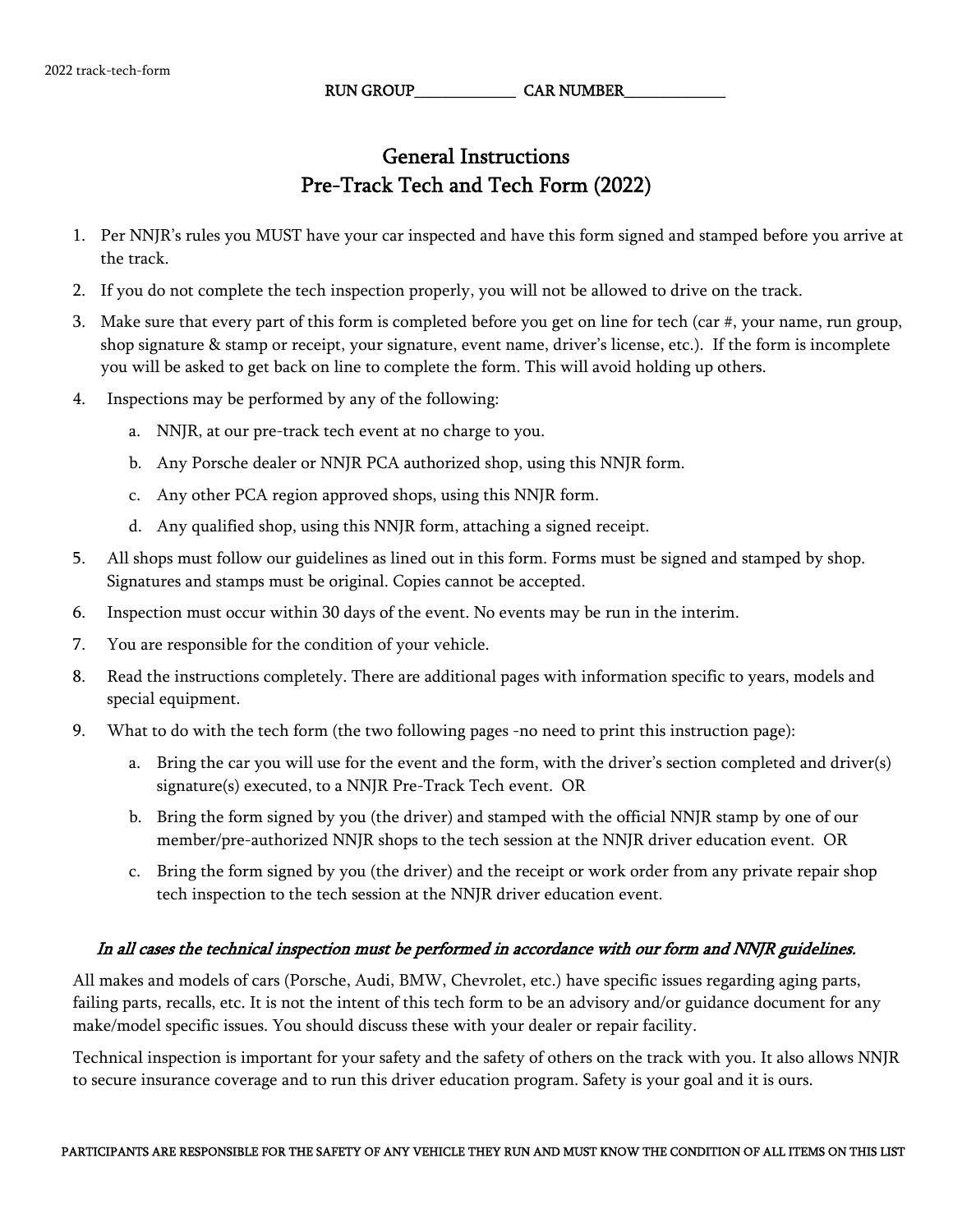RUN GROUP CAR NUMBER

## General Instructions Pre-Track Tech and Tech Form (2022)

- 1. Per NNJR's rules you MUST have your car inspected and have this form signed and stamped before you arrive at the track.
- 2. If you do not complete the tech inspection properly, you will not be allowed to drive on the track.
- 3. Make sure that every part of this form is completed before you get on line for tech (car #, your name, run group, shop signature & stamp or receipt, your signature, event name, driver's license, etc.). If the form is incomplete you will be asked to get back on line to complete the form. This will avoid holding up others.
- 4. Inspections may be performed by any of the following:
	- a. NNJR, at our pre-track tech event at no charge to you.
	- b. Any Porsche dealer or NNJR PCA authorized shop, using this NNJR form.
	- c. Any other PCA region approved shops, using this NNJR form.
	- d. Any qualified shop, using this NNJR form, attaching a signed receipt.
- 5. All shops must follow our guidelines as lined out in this form. Forms must be signed and stamped by shop. Signatures and stamps must be original. Copies cannot be accepted.
- 6. Inspection must occur within 30 days of the event. No events may be run in the interim.
- 7. You are responsible for the condition of your vehicle.
- 8. Read the instructions completely. There are additional pages with information specific to years, models and special equipment.
- 9. What to do with the tech form (the two following pages -no need to print this instruction page):
	- a. Bring the car you will use for the event and the form, with the driver's section completed and driver(s) signature(s) executed, to a NNJR Pre-Track Tech event. OR
	- b. Bring the form signed by you (the driver) and stamped with the official NNJR stamp by one of our member/pre-authorized NNJR shops to the tech session at the NNJR driver education event. OR
	- c. Bring the form signed by you (the driver) and the receipt or work order from any private repair shop tech inspection to the tech session at the NNJR driver education event.

## In all cases the technical inspection must be performed in accordance with our form and NNJR guidelines.

All makes and models of cars (Porsche, Audi, BMW, Chevrolet, etc.) have specific issues regarding aging parts, failing parts, recalls, etc. It is not the intent of this tech form to be an advisory and/or guidance document for any make/model specific issues. You should discuss these with your dealer or repair facility.

Technical inspection is important for your safety and the safety of others on the track with you. It also allows NNJR to secure insurance coverage and to run this driver education program. Safety is your goal and it is ours.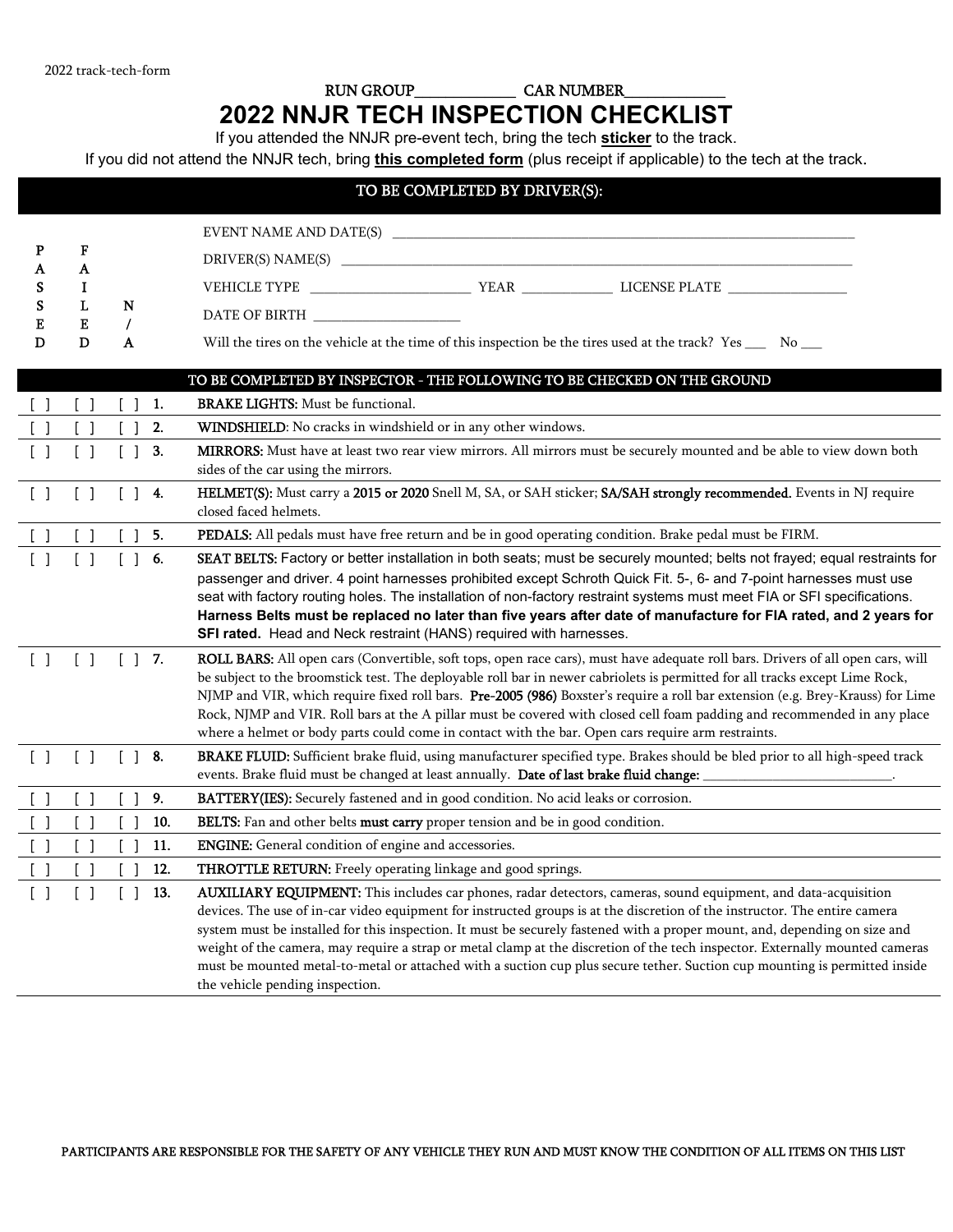## RUN GROUP\_\_\_\_\_\_\_\_\_\_\_\_\_ CAR NUMBER\_\_\_\_\_\_\_\_\_\_\_\_\_ **2022 NNJR TECH INSPECTION CHECKLIST**

If you attended the NNJR pre-event tech, bring the tech **sticker** to the track.

If you did not attend the NNJR tech, bring **this completed form** (plus receipt if applicable) to the tech at the track.

| TO BE COMPLETED BY DRIVER(S):     |                                               |                                          |                                                                                                                                                                                                                                                                                                                                                                                                                                                                                                                                                                                                                                                                             |  |  |  |
|-----------------------------------|-----------------------------------------------|------------------------------------------|-----------------------------------------------------------------------------------------------------------------------------------------------------------------------------------------------------------------------------------------------------------------------------------------------------------------------------------------------------------------------------------------------------------------------------------------------------------------------------------------------------------------------------------------------------------------------------------------------------------------------------------------------------------------------------|--|--|--|
| P<br>A<br>s<br>S<br>E<br>D        | F<br>A<br>I<br>L<br>Е<br>D                    | N<br>$\prime$<br>A                       | DATE OF BIRTH ____________________<br>Will the tires on the vehicle at the time of this inspection be the tires used at the track? Yes ______ No ___                                                                                                                                                                                                                                                                                                                                                                                                                                                                                                                        |  |  |  |
|                                   |                                               |                                          | TO BE COMPLETED BY INSPECTOR - THE FOLLOWING TO BE CHECKED ON THE GROUND                                                                                                                                                                                                                                                                                                                                                                                                                                                                                                                                                                                                    |  |  |  |
| $\begin{bmatrix} 1 \end{bmatrix}$ | $\left[ \begin{array}{c} \end{array} \right]$ | 1.<br>$\lceil$ 1                         | <b>BRAKE LIGHTS:</b> Must be functional.                                                                                                                                                                                                                                                                                                                                                                                                                                                                                                                                                                                                                                    |  |  |  |
| $\begin{bmatrix} 1 \end{bmatrix}$ | $\begin{bmatrix} 1 \end{bmatrix}$             | 2.<br>$\begin{bmatrix} 1 \end{bmatrix}$  | WINDSHIELD: No cracks in windshield or in any other windows.                                                                                                                                                                                                                                                                                                                                                                                                                                                                                                                                                                                                                |  |  |  |
| $\begin{bmatrix} 1 \end{bmatrix}$ | $\begin{bmatrix} 1 \end{bmatrix}$             | $\begin{bmatrix} 1 \end{bmatrix}$<br>3.  | MIRRORS: Must have at least two rear view mirrors. All mirrors must be securely mounted and be able to view down both<br>sides of the car using the mirrors.                                                                                                                                                                                                                                                                                                                                                                                                                                                                                                                |  |  |  |
| $\begin{bmatrix} 1 \end{bmatrix}$ | $\begin{bmatrix} 1 \end{bmatrix}$             | $[$ $]$ 4.                               | HELMET(S): Must carry a 2015 or 2020 Snell M, SA, or SAH sticker; SA/SAH strongly recommended. Events in NJ require<br>closed faced helmets.                                                                                                                                                                                                                                                                                                                                                                                                                                                                                                                                |  |  |  |
| $\begin{bmatrix} 1 \end{bmatrix}$ | $\begin{bmatrix} 1 \end{bmatrix}$             | 5.                                       | PEDALS: All pedals must have free return and be in good operating condition. Brake pedal must be FIRM.                                                                                                                                                                                                                                                                                                                                                                                                                                                                                                                                                                      |  |  |  |
| $\begin{bmatrix} 1 \end{bmatrix}$ | $\begin{bmatrix} 1 \end{bmatrix}$             | 6.                                       | SEAT BELTS: Factory or better installation in both seats; must be securely mounted; belts not frayed; equal restraints for<br>passenger and driver. 4 point harnesses prohibited except Schroth Quick Fit. 5-, 6- and 7-point harnesses must use<br>seat with factory routing holes. The installation of non-factory restraint systems must meet FIA or SFI specifications.<br>Harness Belts must be replaced no later than five years after date of manufacture for FIA rated, and 2 years for<br>SFI rated. Head and Neck restraint (HANS) required with harnesses.                                                                                                       |  |  |  |
| $\begin{bmatrix} 1 \end{bmatrix}$ | $\begin{bmatrix} 1 \end{bmatrix}$             | $[$ $]$ 7.                               | ROLL BARS: All open cars (Convertible, soft tops, open race cars), must have adequate roll bars. Drivers of all open cars, will<br>be subject to the broomstick test. The deployable roll bar in newer cabriolets is permitted for all tracks except Lime Rock,<br>NJMP and VIR, which require fixed roll bars. Pre-2005 (986) Boxster's require a roll bar extension (e.g. Brey-Krauss) for Lime<br>Rock, NJMP and VIR. Roll bars at the A pillar must be covered with closed cell foam padding and recommended in any place<br>where a helmet or body parts could come in contact with the bar. Open cars require arm restraints.                                         |  |  |  |
| $\begin{bmatrix} 1 \end{bmatrix}$ | $\begin{bmatrix} 1 \end{bmatrix}$             | $[$ $]$ 8.                               | BRAKE FLUID: Sufficient brake fluid, using manufacturer specified type. Brakes should be bled prior to all high-speed track<br>events. Brake fluid must be changed at least annually. Date of last brake fluid change:                                                                                                                                                                                                                                                                                                                                                                                                                                                      |  |  |  |
| $\begin{bmatrix} 1 \end{bmatrix}$ | $\begin{bmatrix} 1 \end{bmatrix}$             | 9.<br>$\begin{bmatrix} 1 \end{bmatrix}$  | BATTERY(IES): Securely fastened and in good condition. No acid leaks or corrosion.                                                                                                                                                                                                                                                                                                                                                                                                                                                                                                                                                                                          |  |  |  |
| $\begin{bmatrix} 1 \end{bmatrix}$ | $\begin{bmatrix} 1 \end{bmatrix}$             | $\begin{bmatrix} 1 \end{bmatrix}$<br>10. | BELTS: Fan and other belts must carry proper tension and be in good condition.                                                                                                                                                                                                                                                                                                                                                                                                                                                                                                                                                                                              |  |  |  |
| $\begin{bmatrix} 1 \end{bmatrix}$ | $\begin{bmatrix} 1 \end{bmatrix}$             | 11.                                      | <b>ENGINE:</b> General condition of engine and accessories.                                                                                                                                                                                                                                                                                                                                                                                                                                                                                                                                                                                                                 |  |  |  |
|                                   |                                               | 12.                                      | THROTTLE RETURN: Freely operating linkage and good springs.                                                                                                                                                                                                                                                                                                                                                                                                                                                                                                                                                                                                                 |  |  |  |
|                                   | $\begin{bmatrix} 1 \end{bmatrix}$             | 13.<br>$\begin{bmatrix} 1 \end{bmatrix}$ | AUXILIARY EQUIPMENT: This includes car phones, radar detectors, cameras, sound equipment, and data-acquisition<br>devices. The use of in-car video equipment for instructed groups is at the discretion of the instructor. The entire camera<br>system must be installed for this inspection. It must be securely fastened with a proper mount, and, depending on size and<br>weight of the camera, may require a strap or metal clamp at the discretion of the tech inspector. Externally mounted cameras<br>must be mounted metal-to-metal or attached with a suction cup plus secure tether. Suction cup mounting is permitted inside<br>the vehicle pending inspection. |  |  |  |